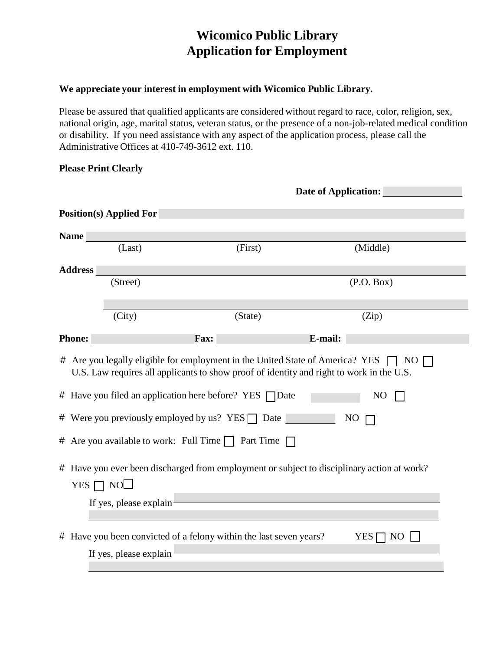# **Wicomico Public Library Application for Employment**

### **We appreciate your interest in employment with Wicomico Public Library.**

Please be assured that qualified applicants are considered without regard to race, color, religion, sex, national origin, age, marital status, veteran status, or the presence of a non-job-related medical condition or disability. If you need assistance with any aspect of the application process, please call the Administrative Offices at 410-749-3612 ext. 110.

#### **Please Print Clearly**

|                                                                                                                                                                                                                                                                       |                                                                                                                               | <b>Date of Application:</b>                                        |             |  |  |
|-----------------------------------------------------------------------------------------------------------------------------------------------------------------------------------------------------------------------------------------------------------------------|-------------------------------------------------------------------------------------------------------------------------------|--------------------------------------------------------------------|-------------|--|--|
|                                                                                                                                                                                                                                                                       | <b>Position(s) Applied For</b>                                                                                                |                                                                    |             |  |  |
| <b>Name</b>                                                                                                                                                                                                                                                           |                                                                                                                               |                                                                    |             |  |  |
|                                                                                                                                                                                                                                                                       | (Last)                                                                                                                        | (First)                                                            | (Middle)    |  |  |
| <b>Address</b>                                                                                                                                                                                                                                                        |                                                                                                                               |                                                                    |             |  |  |
|                                                                                                                                                                                                                                                                       | (Street)                                                                                                                      |                                                                    | (P.O. Box)  |  |  |
|                                                                                                                                                                                                                                                                       | (City)                                                                                                                        | (State)                                                            | (Zip)       |  |  |
| Phone:                                                                                                                                                                                                                                                                |                                                                                                                               | $\Gamma$ Fax:<br><b>E-mail:</b>                                    |             |  |  |
| $\#$ Are you legally eligible for employment in the United State of America? YES $\Box$<br>NO.<br>U.S. Law requires all applicants to show proof of identity and right to work in the U.S.<br># Have you filed an application here before? YES Date<br>N <sub>O</sub> |                                                                                                                               |                                                                    |             |  |  |
|                                                                                                                                                                                                                                                                       | # Were you previously employed by us? YES $\Box$ Date<br>NO<br># Are you available to work: Full Time $\Box$ Part Time $\Box$ |                                                                    |             |  |  |
| # Have you ever been discharged from employment or subject to disciplinary action at work?<br>YES $\Box$ NO $\Box$<br>If yes, please explain                                                                                                                          |                                                                                                                               |                                                                    |             |  |  |
|                                                                                                                                                                                                                                                                       | If yes, please explain                                                                                                        | # Have you been convicted of a felony within the last seven years? | YES  <br>NO |  |  |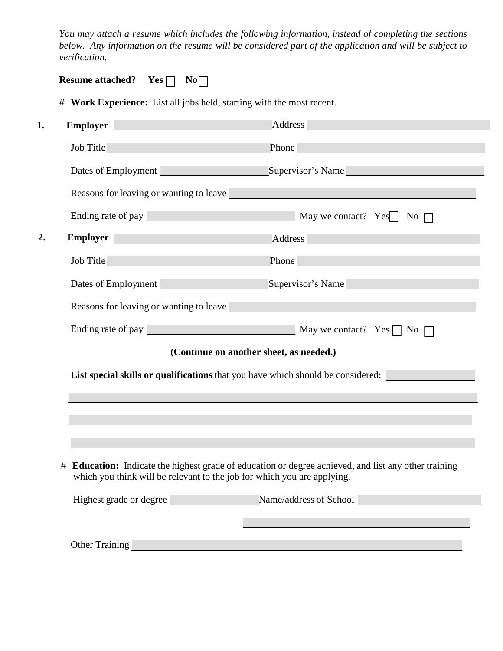*You may attach a resume which includes the following information, instead of completing the sections below. Any information on the resume will be considered part of the application and will be subject to verification.*

# **Work Experience:** List all jobs held, starting with the most recent.

| <b>Employer Employer</b>                                                                                                                                                        | Address and the contract of the contract of the contract of the contract of the contract of the contract of the contract of the contract of the contract of the contract of the contract of the contract of the contract of th |  |  |
|---------------------------------------------------------------------------------------------------------------------------------------------------------------------------------|--------------------------------------------------------------------------------------------------------------------------------------------------------------------------------------------------------------------------------|--|--|
| Job Title                                                                                                                                                                       | Phone has a series of the contract of the series of the series of the series of the series of the series of the series of the series of the series of the series of the series of the series of the series of the series of th |  |  |
|                                                                                                                                                                                 | Dates of Employment Supervisor's Name                                                                                                                                                                                          |  |  |
|                                                                                                                                                                                 | Reasons for leaving or wanting to leave the state of the state of the state of the state of the state of the state of the state of the state of the state of the state of the state of the state of the state of the state of  |  |  |
|                                                                                                                                                                                 | Ending rate of pay <u>Nay</u> May we contact? Yes No                                                                                                                                                                           |  |  |
|                                                                                                                                                                                 | Employer Address                                                                                                                                                                                                               |  |  |
|                                                                                                                                                                                 | Job Title Phone Phone                                                                                                                                                                                                          |  |  |
|                                                                                                                                                                                 | Dates of Employment Supervisor's Name                                                                                                                                                                                          |  |  |
|                                                                                                                                                                                 | <b>Reasons for leaving or wanting to leave Exercísion Exercísion Contract Contract Contract Contract Contract Contract Contract Contract Contract Contract Contract Contract Contract Contract Contract Contract Contract </b> |  |  |
|                                                                                                                                                                                 | Ending rate of pay $\qquad \qquad$ May we contact? Yes $\qquad \qquad$ No $\qquad \qquad$                                                                                                                                      |  |  |
|                                                                                                                                                                                 | (Continue on another sheet, as needed.)                                                                                                                                                                                        |  |  |
|                                                                                                                                                                                 | List special skills or qualifications that you have which should be considered:                                                                                                                                                |  |  |
|                                                                                                                                                                                 |                                                                                                                                                                                                                                |  |  |
|                                                                                                                                                                                 |                                                                                                                                                                                                                                |  |  |
|                                                                                                                                                                                 |                                                                                                                                                                                                                                |  |  |
| # Education: Indicate the highest grade of education or degree achieved, and list any other training<br>which you think will be relevant to the job for which you are applying. |                                                                                                                                                                                                                                |  |  |
| Highest grade or degree                                                                                                                                                         | Name/address of School                                                                                                                                                                                                         |  |  |
|                                                                                                                                                                                 |                                                                                                                                                                                                                                |  |  |
| <b>Other Training</b>                                                                                                                                                           |                                                                                                                                                                                                                                |  |  |